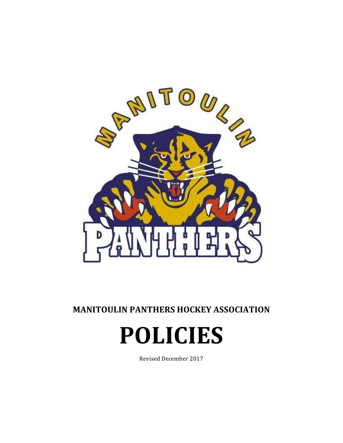

**MANITOULIN PANTHERS HOCKEY ASSOCIATION** 

# **POLICIES**

Revised December 2017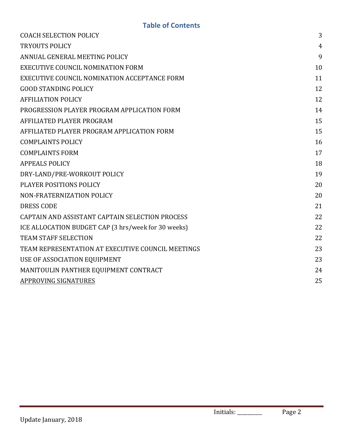| <b>COACH SELECTION POLICY</b>                       | 3              |
|-----------------------------------------------------|----------------|
| <b>TRYOUTS POLICY</b>                               | $\overline{4}$ |
| ANNUAL GENERAL MEETING POLICY                       | 9              |
| <b>EXECUTIVE COUNCIL NOMINATION FORM</b>            | 10             |
| EXECUTIVE COUNCIL NOMINATION ACCEPTANCE FORM        | 11             |
| <b>GOOD STANDING POLICY</b>                         | 12             |
| <b>AFFILIATION POLICY</b>                           | 12             |
| PROGRESSION PLAYER PROGRAM APPLICATION FORM         | 14             |
| AFFILIATED PLAYER PROGRAM                           | 15             |
| AFFILIATED PLAYER PROGRAM APPLICATION FORM          | 15             |
| <b>COMPLAINTS POLICY</b>                            | 16             |
| <b>COMPLAINTS FORM</b>                              | 17             |
| <b>APPEALS POLICY</b>                               | 18             |
| DRY-LAND/PRE-WORKOUT POLICY                         | 19             |
| PLAYER POSITIONS POLICY                             | 20             |
| NON-FRATERNIZATION POLICY                           | 20             |
| <b>DRESS CODE</b>                                   | 21             |
| CAPTAIN AND ASSISTANT CAPTAIN SELECTION PROCESS     | 22             |
| ICE ALLOCATION BUDGET CAP (3 hrs/week for 30 weeks) | 22             |
| <b>TEAM STAFF SELECTION</b>                         | 22             |
| TEAM REPRESENTATION AT EXECUTIVE COUNCIL MEETINGS   | 23             |
| USE OF ASSOCIATION EQUIPMENT                        | 23             |
| MANITOULIN PANTHER EQUIPMENT CONTRACT               | 24             |
| <b>APPROVING SIGNATURES</b>                         | 25             |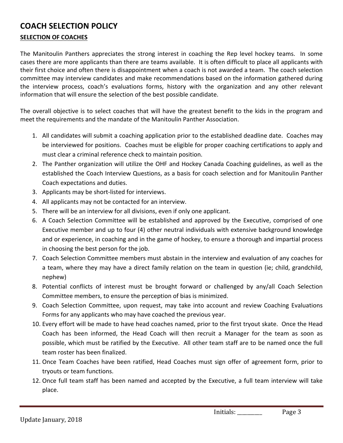# **COACH SELECTION POLICY**

#### **SELECTION OF COACHES**

The Manitoulin Panthers appreciates the strong interest in coaching the Rep level hockey teams. In some cases there are more applicants than there are teams available. It is often difficult to place all applicants with their first choice and often there is disappointment when a coach is not awarded a team. The coach selection committee may interview candidates and make recommendations based on the information gathered during the interview process, coach's evaluations forms, history with the organization and any other relevant information that will ensure the selection of the best possible candidate.

The overall objective is to select coaches that will have the greatest benefit to the kids in the program and meet the requirements and the mandate of the Manitoulin Panther Association.

- 1. All candidates will submit a coaching application prior to the established deadline date. Coaches may be interviewed for positions. Coaches must be eligible for proper coaching certifications to apply and must clear a criminal reference check to maintain position.
- 2. The Panther organization will utilize the OHF and Hockey Canada Coaching guidelines, as well as the established the Coach Interview Questions, as a basis for coach selection and for Manitoulin Panther Coach expectations and duties.
- 3. Applicants may be short-listed for interviews.
- 4. All applicants may not be contacted for an interview.
- 5. There will be an interview for all divisions, even if only one applicant.
- 6. A Coach Selection Committee will be established and approved by the Executive, comprised of one Executive member and up to four (4) other neutral individuals with extensive background knowledge and or experience, in coaching and in the game of hockey, to ensure a thorough and impartial process in choosing the best person for the job.
- 7. Coach Selection Committee members must abstain in the interview and evaluation of any coaches for a team, where they may have a direct family relation on the team in question (ie; child, grandchild, nephew)
- 8. Potential conflicts of interest must be brought forward or challenged by any/all Coach Selection Committee members, to ensure the perception of bias is minimized.
- 9. Coach Selection Committee, upon request, may take into account and review Coaching Evaluations Forms for any applicants who may have coached the previous year.
- 10. Every effort will be made to have head coaches named, prior to the first tryout skate. Once the Head Coach has been informed, the Head Coach will then recruit a Manager for the team as soon as possible, which must be ratified by the Executive. All other team staff are to be named once the full team roster has been finalized.
- 11. Once Team Coaches have been ratified, Head Coaches must sign offer of agreement form, prior to tryouts or team functions.
- 12. Once full team staff has been named and accepted by the Executive, a full team interview will take place.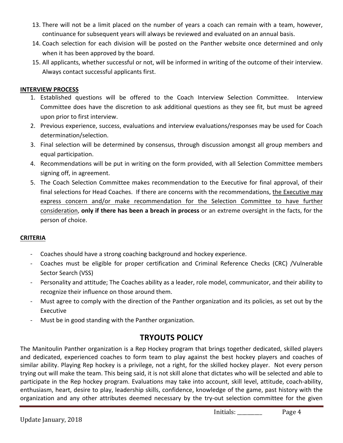- 13. There will not be a limit placed on the number of years a coach can remain with a team, however, continuance for subsequent years will always be reviewed and evaluated on an annual basis.
- 14. Coach selection for each division will be posted on the Panther website once determined and only when it has been approved by the board.
- 15. All applicants, whether successful or not, will be informed in writing of the outcome of their interview. Always contact successful applicants first.

#### **INTERVIEW PROCESS**

- 1. Established questions will be offered to the Coach Interview Selection Committee. Interview Committee does have the discretion to ask additional questions as they see fit, but must be agreed upon prior to first interview.
- 2. Previous experience, success, evaluations and interview evaluations/responses may be used for Coach determination/selection.
- 3. Final selection will be determined by consensus, through discussion amongst all group members and equal participation.
- 4. Recommendations will be put in writing on the form provided, with all Selection Committee members signing off, in agreement.
- 5. The Coach Selection Committee makes recommendation to the Executive for final approval, of their final selections for Head Coaches. If there are concerns with the recommendations, the Executive may express concern and/or make recommendation for the Selection Committee to have further consideration, only if there has been a breach in process or an extreme oversight in the facts, for the person of choice.

#### **CRITERIA**

- Coaches should have a strong coaching background and hockey experience.
- Coaches must be eligible for proper certification and Criminal Reference Checks (CRC) /Vulnerable Sector Search (VSS)
- Personality and attitude; The Coaches ability as a leader, role model, communicator, and their ability to recognize their influence on those around them.
- Must agree to comply with the direction of the Panther organization and its policies, as set out by the Executive
- Must be in good standing with the Panther organization.

# **TRYOUTS POLICY**

The Manitoulin Panther organization is a Rep Hockey program that brings together dedicated, skilled players and dedicated, experienced coaches to form team to play against the best hockey players and coaches of similar ability. Playing Rep hockey is a privilege, not a right, for the skilled hockey player. Not every person trying out will make the team. This being said, it is not skill alone that dictates who will be selected and able to participate in the Rep hockey program. Evaluations may take into account, skill level, attitude, coach-ability, enthusiasm, heart, desire to play, leadership skills, confidence, knowledge of the game, past history with the organization and any other attributes deemed necessary by the try-out selection committee for the given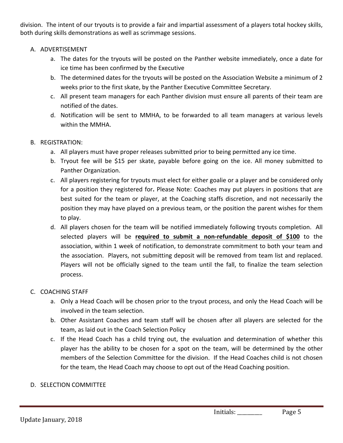division. The intent of our tryouts is to provide a fair and impartial assessment of a players total hockey skills, both during skills demonstrations as well as scrimmage sessions.

#### A. ADVERTISEMENT

- a. The dates for the tryouts will be posted on the Panther website immediately, once a date for ice time has been confirmed by the Executive
- b. The determined dates for the tryouts will be posted on the Association Website a minimum of 2 weeks prior to the first skate, by the Panther Executive Committee Secretary.
- c. All present team managers for each Panther division must ensure all parents of their team are notified of the dates.
- d. Notification will be sent to MMHA, to be forwarded to all team managers at various levels within the MMHA.

#### B. REGISTRATION:

- a. All players must have proper releases submitted prior to being permitted any ice time.
- b. Tryout fee will be \$15 per skate, payable before going on the ice. All money submitted to Panther Organization.
- c. All players registering for tryouts must elect for either goalie or a player and be considered only for a position they registered for. Please Note: Coaches may put players in positions that are best suited for the team or player, at the Coaching staffs discretion, and not necessarily the position they may have played on a previous team, or the position the parent wishes for them to play.
- d. All players chosen for the team will be notified immediately following tryouts completion. All selected players will be required to submit a non-refundable deposit of \$100 to the association, within 1 week of notification, to demonstrate commitment to both your team and the association. Players, not submitting deposit will be removed from team list and replaced. Players will not be officially signed to the team until the fall, to finalize the team selection process.

#### C. COACHING STAFF

- a. Only a Head Coach will be chosen prior to the tryout process, and only the Head Coach will be involved in the team selection.
- b. Other Assistant Coaches and team staff will be chosen after all players are selected for the team, as laid out in the Coach Selection Policy
- c. If the Head Coach has a child trying out, the evaluation and determination of whether this player has the ability to be chosen for a spot on the team, will be determined by the other members of the Selection Committee for the division. If the Head Coaches child is not chosen for the team, the Head Coach may choose to opt out of the Head Coaching position.

#### D. SELECTION COMMITTEE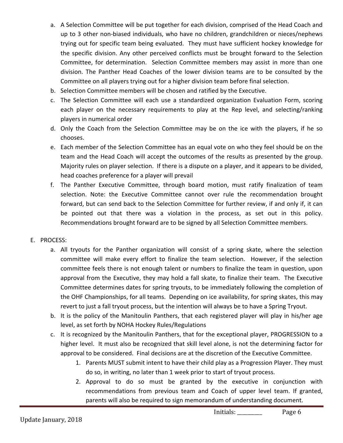- a. A Selection Committee will be put together for each division, comprised of the Head Coach and up to 3 other non-biased individuals, who have no children, grandchildren or nieces/nephews trying out for specific team being evaluated. They must have sufficient hockey knowledge for the specific division. Any other perceived conflicts must be brought forward to the Selection Committee, for determination. Selection Committee members may assist in more than one division. The Panther Head Coaches of the lower division teams are to be consulted by the Committee on all players trying out for a higher division team before final selection.
- b. Selection Committee members will be chosen and ratified by the Executive.
- c. The Selection Committee will each use a standardized organization Evaluation Form, scoring each player on the necessary requirements to play at the Rep level, and selecting/ranking players in numerical order
- d. Only the Coach from the Selection Committee may be on the ice with the players, if he so chooses.
- e. Each member of the Selection Committee has an equal vote on who they feel should be on the team and the Head Coach will accept the outcomes of the results as presented by the group. Majority rules on player selection. If there is a dispute on a player, and it appears to be divided, head coaches preference for a player will prevail
- f. The Panther Executive Committee, through board motion, must ratify finalization of team selection. Note: the Executive Committee cannot over rule the recommendation brought forward, but can send back to the Selection Committee for further review, if and only if, it can be pointed out that there was a violation in the process, as set out in this policy. Recommendations brought forward are to be signed by all Selection Committee members.

#### E. PROCESS:

- a. All tryouts for the Panther organization will consist of a spring skate, where the selection committee will make every effort to finalize the team selection. However, if the selection committee feels there is not enough talent or numbers to finalize the team in question, upon approval from the Executive, they may hold a fall skate, to finalize their team. The Executive Committee determines dates for spring tryouts, to be immediately following the completion of the OHF Championships, for all teams. Depending on ice availability, for spring skates, this may revert to just a fall tryout process, but the intention will always be to have a Spring Tryout.
- b. It is the policy of the Manitoulin Panthers, that each registered player will play in his/her age level, as set forth by NOHA Hockey Rules/Regulations
- c. It is recognized by the Manitoulin Panthers, that for the exceptional player, PROGRESSION to a higher level. It must also be recognized that skill level alone, is not the determining factor for approval to be considered. Final decisions are at the discretion of the Executive Committee.
	- 1. Parents MUST submit intent to have their child play as a Progression Player. They must do so, in writing, no later than 1 week prior to start of tryout process.
	- 2. Approval to do so must be granted by the executive in conjunction with recommendations from previous team and Coach of upper level team. If granted, parents will also be required to sign memorandum of understanding document.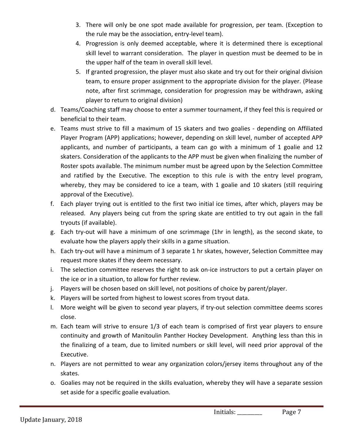- 3. There will only be one spot made available for progression, per team. (Exception to the rule may be the association, entry-level team).
- 4. Progression is only deemed acceptable, where it is determined there is exceptional skill level to warrant consideration. The player in question must be deemed to be in the upper half of the team in overall skill level.
- 5. If granted progression, the player must also skate and try out for their original division team, to ensure proper assignment to the appropriate division for the player. (Please note, after first scrimmage, consideration for progression may be withdrawn, asking player to return to original division)
- d. Teams/Coaching staff may choose to enter a summer tournament, if they feel this is required or beneficial to their team.
- e. Teams must strive to fill a maximum of 15 skaters and two goalies depending on Affiliated Player Program (APP) applications; however, depending on skill level, number of accepted APP applicants, and number of participants, a team can go with a minimum of 1 goalie and 12 skaters. Consideration of the applicants to the APP must be given when finalizing the number of Roster spots available. The minimum number must be agreed upon by the Selection Committee and ratified by the Executive. The exception to this rule is with the entry level program, whereby, they may be considered to ice a team, with 1 goalie and 10 skaters (still requiring approval of the Executive).
- f. Each player trying out is entitled to the first two initial ice times, after which, players may be released. Any players being cut from the spring skate are entitled to try out again in the fall tryouts (if available).
- g. Each try-out will have a minimum of one scrimmage (1hr in length), as the second skate, to evaluate how the players apply their skills in a game situation.
- h. Each try-out will have a minimum of 3 separate 1 hr skates, however, Selection Committee may request more skates if they deem necessary.
- i. The selection committee reserves the right to ask on-ice instructors to put a certain player on the ice or in a situation, to allow for further review.
- j. Players will be chosen based on skill level, not positions of choice by parent/player.
- k. Players will be sorted from highest to lowest scores from tryout data.
- I. More weight will be given to second year players, if try-out selection committee deems scores close.
- m. Each team will strive to ensure 1/3 of each team is comprised of first year players to ensure continuity and growth of Manitoulin Panther Hockey Development. Anything less than this in the finalizing of a team, due to limited numbers or skill level, will need prior approval of the Executive.
- n. Players are not permitted to wear any organization colors/jersey items throughout any of the skates.
- o. Goalies may not be required in the skills evaluation, whereby they will have a separate session set aside for a specific goalie evaluation.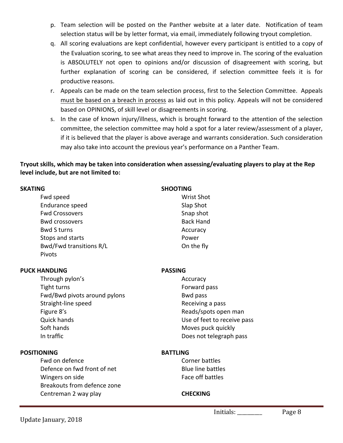- p. Team selection will be posted on the Panther website at a later date. Notification of team selection status will be by letter format, via email, immediately following tryout completion.
- g. All scoring evaluations are kept confidential, however every participant is entitled to a copy of the Evaluation scoring, to see what areas they need to improve in. The scoring of the evaluation is ABSOLUTELY not open to opinions and/or discussion of disagreement with scoring, but further explanation of scoring can be considered, if selection committee feels it is for productive reasons.
- r. Appeals can be made on the team selection process, first to the Selection Committee. Appeals must be based on a breach in process as laid out in this policy. Appeals will not be considered based on OPINIONS, of skill level or disagreements in scoring.
- s. In the case of known injury/illness, which is brought forward to the attention of the selection committee, the selection committee may hold a spot for a later review/assessment of a player, if it is believed that the player is above average and warrants consideration. Such consideration may also take into account the previous year's performance on a Panther Team.

#### **Tryout skills, which may be taken into consideration when assessing/evaluating players to play at the Rep** level include, but are not limited to:

| <b>SKATING</b>          | <b>SHOOTING</b>   |  |  |
|-------------------------|-------------------|--|--|
| Fwd speed               | <b>Wrist Shot</b> |  |  |
| Endurance speed         | Slap Shot         |  |  |
| <b>Fwd Crossovers</b>   | Snap shot         |  |  |
| <b>Bwd crossovers</b>   | <b>Back Hand</b>  |  |  |
| <b>Bwd Sturns</b>       | Accuracy          |  |  |
| Stops and starts        | Power             |  |  |
| Bwd/Fwd transitions R/L | On the fly        |  |  |
| Pivots                  |                   |  |  |

#### **PUCK HANDLING PASSING**

Through pylon's and a securacy and a securacy and a securacy and a securacy of  $\sim$  Accuracy Tight turns Tight turns **Forward** pass Fwd/Bwd pivots around pylons example and pass Bwd pass Straight-line speed **Receiving** a pass Figure 8's and the settlement of the settlement of the Reads/spots open man Quick hands **COVER 1998** Use of feet to receive pass Soft hands **Moves** puck quickly In traffic and the Does not telegraph pass

#### **POSITIONING BATTLING**

- Fwd on defence Corner battles Defence on fwd front of net and a set of Blue line battles Wingers on side **Face off** battles Breakouts from defence zone Centreman 2 way play **CHECKING**
-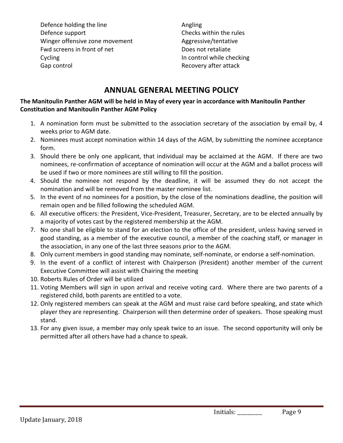Defence holding the line and the Angling Defence support **Checks** within the rules Winger offensive zone movement and all and Aggressive/tentative Fwd screens in front of net Does not retaliate Cycling **In** control while checking Gap control example and the control of the Recovery after attack

# **ANNUAL GENERAL MEETING POLICY**

#### The Manitoulin Panther AGM will be held in May of every year in accordance with Manitoulin Panther **Constitution and Manitoulin Panther AGM Policy**

- 1. A nomination form must be submitted to the association secretary of the association by email by, 4 weeks prior to AGM date.
- 2. Nominees must accept nomination within 14 days of the AGM, by submitting the nominee acceptance form.
- 3. Should there be only one applicant, that individual may be acclaimed at the AGM. If there are two nominees, re-confirmation of acceptance of nomination will occur at the AGM and a ballot process will be used if two or more nominees are still willing to fill the position.
- 4. Should the nominee not respond by the deadline, it will be assumed they do not accept the nomination and will be removed from the master nominee list.
- 5. In the event of no nominees for a position, by the close of the nominations deadline, the position will remain open and be filled following the scheduled AGM.
- 6. All executive officers: the President, Vice-President, Treasurer, Secretary, are to be elected annually by a majority of votes cast by the registered membership at the AGM.
- 7. No one shall be eligible to stand for an election to the office of the president, unless having served in good standing, as a member of the executive council, a member of the coaching staff, or manager in the association, in any one of the last three seasons prior to the AGM.
- 8. Only current members in good standing may nominate, self-nominate, or endorse a self-nomination.
- 9. In the event of a conflict of interest with Chairperson (President) another member of the current Executive Committee will assist with Chairing the meeting
- 10. Roberts Rules of Order will be utilized
- 11. Voting Members will sign in upon arrival and receive voting card. Where there are two parents of a registered child, both parents are entitled to a vote.
- 12. Only registered members can speak at the AGM and must raise card before speaking, and state which player they are representing. Chairperson will then determine order of speakers. Those speaking must stand.
- 13. For any given issue, a member may only speak twice to an issue. The second opportunity will only be permitted after all others have had a chance to speak.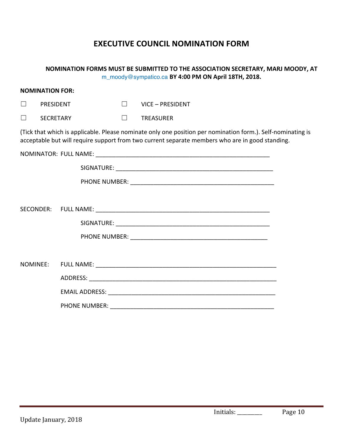# **EXECUTIVE COUNCIL NOMINATION FORM**

|                             |                                                 |                      |                  | NOMINATION FORMS MUST BE SUBMITTED TO THE ASSOCIATION SECRETARY, MARJ MOODY, AT<br>m_moody@sympatico.ca BY 4:00 PM ON April 18TH, 2018.                                                                        |  |
|-----------------------------|-------------------------------------------------|----------------------|------------------|----------------------------------------------------------------------------------------------------------------------------------------------------------------------------------------------------------------|--|
|                             | <b>NOMINATION FOR:</b>                          |                      |                  |                                                                                                                                                                                                                |  |
| <b>PRESIDENT</b><br>$\perp$ |                                                 | $\Box$               | VICE - PRESIDENT |                                                                                                                                                                                                                |  |
| $\perp$                     | <b>SECRETARY</b><br>$\perp$<br><b>TREASURER</b> |                      |                  |                                                                                                                                                                                                                |  |
|                             |                                                 |                      |                  | (Tick that which is applicable. Please nominate only one position per nomination form.). Self-nominating is<br>acceptable but will require support from two current separate members who are in good standing. |  |
|                             |                                                 |                      |                  |                                                                                                                                                                                                                |  |
|                             |                                                 |                      |                  |                                                                                                                                                                                                                |  |
|                             |                                                 |                      |                  |                                                                                                                                                                                                                |  |
|                             |                                                 |                      |                  |                                                                                                                                                                                                                |  |
|                             |                                                 |                      |                  |                                                                                                                                                                                                                |  |
|                             |                                                 |                      |                  |                                                                                                                                                                                                                |  |
|                             |                                                 |                      |                  |                                                                                                                                                                                                                |  |
|                             |                                                 |                      |                  |                                                                                                                                                                                                                |  |
| NOMINEE:                    |                                                 |                      |                  |                                                                                                                                                                                                                |  |
|                             |                                                 |                      |                  |                                                                                                                                                                                                                |  |
|                             |                                                 |                      |                  |                                                                                                                                                                                                                |  |
|                             |                                                 | <b>PHONE NUMBER:</b> |                  |                                                                                                                                                                                                                |  |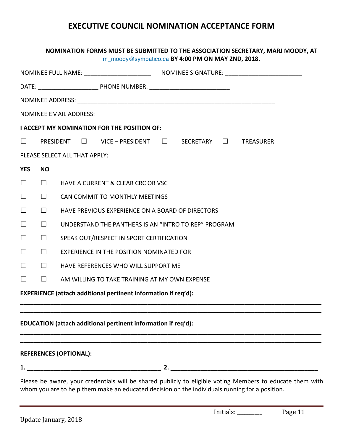# **EXECUTIVE COUNCIL NOMINATION ACCEPTANCE FORM**

#### **NOMINATION FORMS MUST BE SUBMITTED TO THE ASSOCIATION SECRETARY, MARJ MOODY, AT** m\_moody@sympatico.ca **BY 4:00 PM ON MAY 2ND, 2018.**

|                                                                |                                                                |  |  | <b>I ACCEPT MY NOMINATION FOR THE POSITION OF:</b>   |    |  |  |  |
|----------------------------------------------------------------|----------------------------------------------------------------|--|--|------------------------------------------------------|----|--|--|--|
| $\Box$                                                         |                                                                |  |  | PRESIDENT □ VICE - PRESIDENT □ SECRETARY □ TREASURER |    |  |  |  |
|                                                                | PLEASE SELECT ALL THAT APPLY:                                  |  |  |                                                      |    |  |  |  |
| <b>YES</b>                                                     | <b>NO</b>                                                      |  |  |                                                      |    |  |  |  |
| $\Box$                                                         | $\mathbf{1}$                                                   |  |  | <b>HAVE A CURRENT &amp; CLEAR CRC OR VSC</b>         |    |  |  |  |
| $\Box$                                                         | $\perp$                                                        |  |  | CAN COMMIT TO MONTHLY MEETINGS                       |    |  |  |  |
| $\Box$                                                         | $\Box$                                                         |  |  | HAVE PREVIOUS EXPERIENCE ON A BOARD OF DIRECTORS     |    |  |  |  |
| $\Box$                                                         | UNDERSTAND THE PANTHERS IS AN "INTRO TO REP" PROGRAM<br>$\Box$ |  |  |                                                      |    |  |  |  |
| $\Box$                                                         | $\Box$<br>SPEAK OUT/RESPECT IN SPORT CERTIFICATION             |  |  |                                                      |    |  |  |  |
| $\Box$                                                         | $\Box$<br><b>EXPERIENCE IN THE POSITION NOMINATED FOR</b>      |  |  |                                                      |    |  |  |  |
| $\Box$                                                         | $\Box$<br>HAVE REFERENCES WHO WILL SUPPORT ME                  |  |  |                                                      |    |  |  |  |
| $\Box$                                                         | $\Box$<br>AM WILLING TO TAKE TRAINING AT MY OWN EXPENSE        |  |  |                                                      |    |  |  |  |
| EXPERIENCE (attach additional pertinent information if req'd): |                                                                |  |  |                                                      |    |  |  |  |
|                                                                |                                                                |  |  |                                                      |    |  |  |  |
| EDUCATION (attach additional pertinent information if req'd):  |                                                                |  |  |                                                      |    |  |  |  |
|                                                                |                                                                |  |  |                                                      |    |  |  |  |
|                                                                | <b>REFERENCES (OPTIONAL):</b>                                  |  |  |                                                      |    |  |  |  |
| 1.                                                             |                                                                |  |  |                                                      | 2. |  |  |  |

Please be aware, your credentials will be shared publicly to eligible voting Members to educate them with whom you are to help them make an educated decision on the individuals running for a position.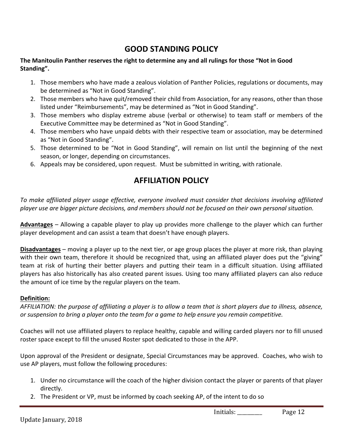# **GOOD STANDING POLICY**

#### The Manitoulin Panther reserves the right to determine any and all rulings for those "Not in Good **Standing".**

- 1. Those members who have made a zealous violation of Panther Policies, regulations or documents, may be determined as "Not in Good Standing".
- 2. Those members who have quit/removed their child from Association, for any reasons, other than those listed under "Reimbursements", may be determined as "Not in Good Standing".
- 3. Those members who display extreme abuse (verbal or otherwise) to team staff or members of the Executive Committee may be determined as "Not in Good Standing".
- 4. Those members who have unpaid debts with their respective team or association, may be determined as "Not in Good Standing".
- 5. Those determined to be "Not in Good Standing", will remain on list until the beginning of the next season, or longer, depending on circumstances.
- 6. Appeals may be considered, upon request. Must be submitted in writing, with rationale.

# **AFFILIATION POLICY**

To make affiliated player usage effective, everyone involved must consider that decisions involving affiliated player use are bigger picture decisions, and members should not be focused on their own personal situation.

**Advantages** – Allowing a capable player to play up provides more challenge to the player which can further player development and can assist a team that doesn't have enough players.

**Disadvantages** – moving a player up to the next tier, or age group places the player at more risk, than playing with their own team, therefore it should be recognized that, using an affiliated player does put the "giving" team at risk of hurting their better players and putting their team in a difficult situation. Using affiliated players has also historically has also created parent issues. Using too many affiliated players can also reduce the amount of ice time by the regular players on the team.

#### **Definition:**

AFFILIATION: the purpose of affiliating a player is to allow a team that is short players due to illness, absence, *or* suspension to bring a player onto the team for a game to help ensure you remain competitive.

Coaches will not use affiliated players to replace healthy, capable and willing carded players nor to fill unused roster space except to fill the unused Roster spot dedicated to those in the APP.

Upon approval of the President or designate, Special Circumstances may be approved. Coaches, who wish to use AP players, must follow the following procedures:

- 1. Under no circumstance will the coach of the higher division contact the player or parents of that player directly.
- 2. The President or VP, must be informed by coach seeking AP, of the intent to do so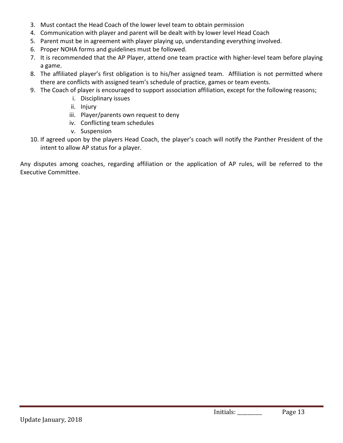- 3. Must contact the Head Coach of the lower level team to obtain permission
- 4. Communication with player and parent will be dealt with by lower level Head Coach
- 5. Parent must be in agreement with player playing up, understanding everything involved.
- 6. Proper NOHA forms and guidelines must be followed.
- 7. It is recommended that the AP Player, attend one team practice with higher-level team before playing a game.
- 8. The affiliated player's first obligation is to his/her assigned team. Affiliation is not permitted where there are conflicts with assigned team's schedule of practice, games or team events.
- 9. The Coach of player is encouraged to support association affiliation, except for the following reasons;
	- i. Disciplinary issues
	- ii. Injury
	- iii. Player/parents own request to deny
	- iv. Conflicting team schedules
	- v. Suspension
- 10. If agreed upon by the players Head Coach, the player's coach will notify the Panther President of the intent to allow AP status for a player.

Any disputes among coaches, regarding affiliation or the application of AP rules, will be referred to the Executive Committee.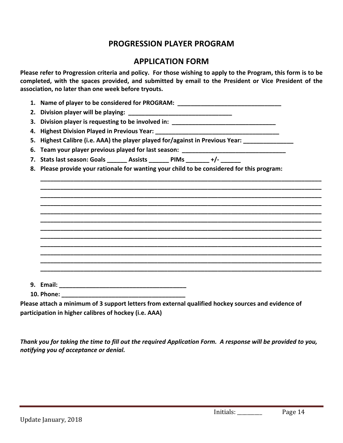# **PROGRESSION PLAYER PROGRAM**

# **APPLICATION FORM**

Please refer to Progression criteria and policy. For those wishing to apply to the Program, this form is to be completed, with the spaces provided, and submitted by email to the President or Vice President of the association, no later than one week before tryouts.

| 1. Name of player to be considered for PROGRAM: ________________________________                 |  |  |  |  |  |  |  |
|--------------------------------------------------------------------------------------------------|--|--|--|--|--|--|--|
|                                                                                                  |  |  |  |  |  |  |  |
| 3. Division player is requesting to be involved in: ____________________________                 |  |  |  |  |  |  |  |
| 4. Highest Division Played in Previous Year: ___________________________________                 |  |  |  |  |  |  |  |
| 5. Highest Calibre (i.e. AAA) the player played for/against in Previous Year: ______________     |  |  |  |  |  |  |  |
| 6. Team your player previous played for last season: ___________________________                 |  |  |  |  |  |  |  |
| 7. Stats last season: Goals _______ Assists _______ PIMs _______ +/- ______                      |  |  |  |  |  |  |  |
| 8. Please provide your rationale for wanting your child to be considered for this program:       |  |  |  |  |  |  |  |
|                                                                                                  |  |  |  |  |  |  |  |
|                                                                                                  |  |  |  |  |  |  |  |
|                                                                                                  |  |  |  |  |  |  |  |
|                                                                                                  |  |  |  |  |  |  |  |
|                                                                                                  |  |  |  |  |  |  |  |
|                                                                                                  |  |  |  |  |  |  |  |
|                                                                                                  |  |  |  |  |  |  |  |
|                                                                                                  |  |  |  |  |  |  |  |
|                                                                                                  |  |  |  |  |  |  |  |
|                                                                                                  |  |  |  |  |  |  |  |
|                                                                                                  |  |  |  |  |  |  |  |
|                                                                                                  |  |  |  |  |  |  |  |
|                                                                                                  |  |  |  |  |  |  |  |
| aso attach a minimum of 2 sunnart lottors from ovtarnal qualified hockey sources and ovidence of |  |  |  |  |  |  |  |

Please attach a minimum of 3 support letters from external qualified hockey sources and evidence of participation in higher calibres of hockey (i.e. AAA)

Thank you for taking the time to fill out the required Application Form. A response will be provided to you, *notifying you of acceptance or denial.*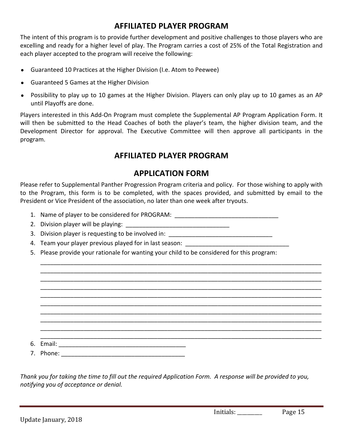# **AFFILIATED PLAYER PROGRAM**

The intent of this program is to provide further development and positive challenges to those players who are excelling and ready for a higher level of play. The Program carries a cost of 25% of the Total Registration and each player accepted to the program will receive the following:

- Guaranteed 10 Practices at the Higher Division (I.e. Atom to Peewee)
- Guaranteed 5 Games at the Higher Division
- Possibility to play up to 10 games at the Higher Division. Players can only play up to 10 games as an AP until Playoffs are done.

Players interested in this Add-On Program must complete the Supplemental AP Program Application Form. It will then be submitted to the Head Coaches of both the player's team, the higher division team, and the Development Director for approval. The Executive Committee will then approve all participants in the program.

# **AFFILIATED PLAYER PROGRAM**

### **APPLICATION FORM**

Please refer to Supplemental Panther Progression Program criteria and policy. For those wishing to apply with to the Program, this form is to be completed, with the spaces provided, and submitted by email to the President or Vice President of the association, no later than one week after tryouts.

\_\_\_\_\_\_\_\_\_\_\_\_\_\_\_\_\_\_\_\_\_\_\_\_\_\_\_\_\_\_\_\_\_\_\_\_\_\_\_\_\_\_\_\_\_\_\_\_\_\_\_\_\_\_\_\_\_\_\_\_\_\_\_\_\_\_\_\_\_\_\_\_\_\_\_\_\_\_\_\_\_\_\_\_ \_\_\_\_\_\_\_\_\_\_\_\_\_\_\_\_\_\_\_\_\_\_\_\_\_\_\_\_\_\_\_\_\_\_\_\_\_\_\_\_\_\_\_\_\_\_\_\_\_\_\_\_\_\_\_\_\_\_\_\_\_\_\_\_\_\_\_\_\_\_\_\_\_\_\_\_\_\_\_\_\_\_\_\_ \_\_\_\_\_\_\_\_\_\_\_\_\_\_\_\_\_\_\_\_\_\_\_\_\_\_\_\_\_\_\_\_\_\_\_\_\_\_\_\_\_\_\_\_\_\_\_\_\_\_\_\_\_\_\_\_\_\_\_\_\_\_\_\_\_\_\_\_\_\_\_\_\_\_\_\_\_\_\_\_\_\_\_\_ \_\_\_\_\_\_\_\_\_\_\_\_\_\_\_\_\_\_\_\_\_\_\_\_\_\_\_\_\_\_\_\_\_\_\_\_\_\_\_\_\_\_\_\_\_\_\_\_\_\_\_\_\_\_\_\_\_\_\_\_\_\_\_\_\_\_\_\_\_\_\_\_\_\_\_\_\_\_\_\_\_\_\_\_ \_\_\_\_\_\_\_\_\_\_\_\_\_\_\_\_\_\_\_\_\_\_\_\_\_\_\_\_\_\_\_\_\_\_\_\_\_\_\_\_\_\_\_\_\_\_\_\_\_\_\_\_\_\_\_\_\_\_\_\_\_\_\_\_\_\_\_\_\_\_\_\_\_\_\_\_\_\_\_\_\_\_\_\_ \_\_\_\_\_\_\_\_\_\_\_\_\_\_\_\_\_\_\_\_\_\_\_\_\_\_\_\_\_\_\_\_\_\_\_\_\_\_\_\_\_\_\_\_\_\_\_\_\_\_\_\_\_\_\_\_\_\_\_\_\_\_\_\_\_\_\_\_\_\_\_\_\_\_\_\_\_\_\_\_\_\_\_\_ \_\_\_\_\_\_\_\_\_\_\_\_\_\_\_\_\_\_\_\_\_\_\_\_\_\_\_\_\_\_\_\_\_\_\_\_\_\_\_\_\_\_\_\_\_\_\_\_\_\_\_\_\_\_\_\_\_\_\_\_\_\_\_\_\_\_\_\_\_\_\_\_\_\_\_\_\_\_\_\_\_\_\_\_ \_\_\_\_\_\_\_\_\_\_\_\_\_\_\_\_\_\_\_\_\_\_\_\_\_\_\_\_\_\_\_\_\_\_\_\_\_\_\_\_\_\_\_\_\_\_\_\_\_\_\_\_\_\_\_\_\_\_\_\_\_\_\_\_\_\_\_\_\_\_\_\_\_\_\_\_\_\_\_\_\_\_\_\_ \_\_\_\_\_\_\_\_\_\_\_\_\_\_\_\_\_\_\_\_\_\_\_\_\_\_\_\_\_\_\_\_\_\_\_\_\_\_\_\_\_\_\_\_\_\_\_\_\_\_\_\_\_\_\_\_\_\_\_\_\_\_\_\_\_\_\_\_\_\_\_\_\_\_\_\_\_\_\_\_\_\_\_\_ \_\_\_\_\_\_\_\_\_\_\_\_\_\_\_\_\_\_\_\_\_\_\_\_\_\_\_\_\_\_\_\_\_\_\_\_\_\_\_\_\_\_\_\_\_\_\_\_\_\_\_\_\_\_\_\_\_\_\_\_\_\_\_\_\_\_\_\_\_\_\_\_\_\_\_\_\_\_\_\_\_\_\_\_

1. Name of player to be considered for PROGRAM: <u>consideration</u> and the set of player  $\sim$ 

2. Division player will be playing:

3. Division player is requesting to be involved in:  $\overline{\phantom{a}}$ 

- 4. Team your player previous played for in last season:
- 5. Please provide your rationale for wanting your child to be considered for this program:

6. Email: \_\_\_\_\_\_\_\_\_\_\_\_\_\_\_\_\_\_\_\_\_\_\_\_\_\_\_\_\_\_\_\_\_\_\_\_\_\_

7. Phone:

*Thank you for taking the time to fill out the required Application Form. A response will be provided to you, notifying you of acceptance or denial.*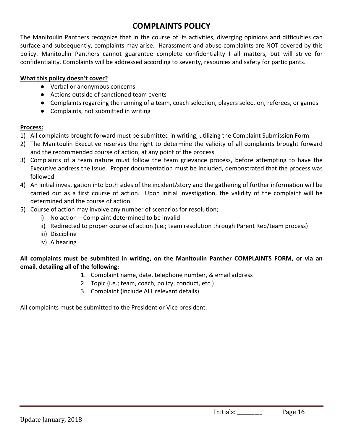# **COMPLAINTS POLICY**

The Manitoulin Panthers recognize that in the course of its activities, diverging opinions and difficulties can surface and subsequently, complaints may arise. Harassment and abuse complaints are NOT covered by this policy. Manitoulin Panthers cannot guarantee complete confidentiality I all matters, but will strive for confidentiality. Complaints will be addressed according to severity, resources and safety for participants.

#### **What this policy doesn't cover?**

- Verbal or anonymous concerns
- Actions outside of sanctioned team events
- Complaints regarding the running of a team, coach selection, players selection, referees, or games
- Complaints, not submitted in writing

#### **Process:**

- 1) All complaints brought forward must be submitted in writing, utilizing the Complaint Submission Form.
- 2) The Manitoulin Executive reserves the right to determine the validity of all complaints brought forward and the recommended course of action, at any point of the process.
- 3) Complaints of a team nature must follow the team grievance process, before attempting to have the Executive address the issue. Proper documentation must be included, demonstrated that the process was followed
- 4) An initial investigation into both sides of the incident/story and the gathering of further information will be carried out as a first course of action. Upon initial investigation, the validity of the complaint will be determined and the course of action
- 5) Course of action may involve any number of scenarios for resolution;
	- $i)$  No action Complaint determined to be invalid
	- ii) Redirected to proper course of action (i.e.; team resolution through Parent Rep/team process)
	- iii) Discipline
	- iv) A hearing

#### All complaints must be submitted in writing, on the Manitoulin Panther COMPLAINTS FORM, or via an **email, detailing all of the following:**

- 1. Complaint name, date, telephone number, & email address
- 2. Topic (i.e.; team, coach, policy, conduct, etc.)
- 3. Complaint (include ALL relevant details)

All complaints must be submitted to the President or Vice president.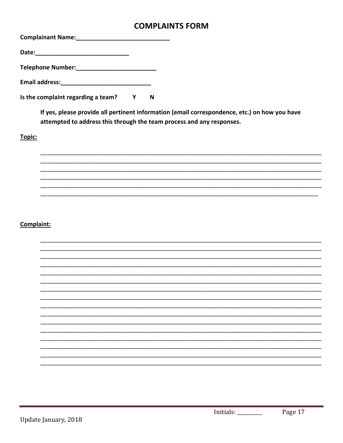# **COMPLAINTS FORM**

| Email address: National Assemblance Contract and Assemblance Contract and Assemblance |   |  |
|---------------------------------------------------------------------------------------|---|--|
| Is the complaint regarding a team?                                                    | N |  |

If yes, please provide all pertinent information (email correspondence, etc.) on how you have attempted to address this through the team process and any responses.

Topic:

### Complaint:

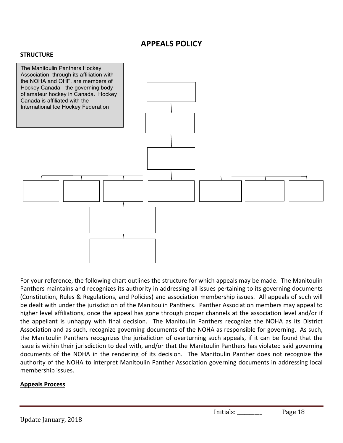# **APPEALS POLICY**

#### **STRUCTURE**



For your reference, the following chart outlines the structure for which appeals may be made. The Manitoulin Panthers maintains and recognizes its authority in addressing all issues pertaining to its governing documents (Constitution, Rules & Regulations, and Policies) and association membership issues. All appeals of such will be dealt with under the jurisdiction of the Manitoulin Panthers. Panther Association members may appeal to higher level affiliations, once the appeal has gone through proper channels at the association level and/or if the appellant is unhappy with final decision. The Manitoulin Panthers recognize the NOHA as its District Association and as such, recognize governing documents of the NOHA as responsible for governing. As such, the Manitoulin Panthers recognizes the jurisdiction of overturning such appeals, if it can be found that the issue is within their jurisdiction to deal with, and/or that the Manitoulin Panthers has violated said governing documents of the NOHA in the rendering of its decision. The Manitoulin Panther does not recognize the authority of the NOHA to interpret Manitoulin Panther Association governing documents in addressing local membership issues.

#### **Appeals Process**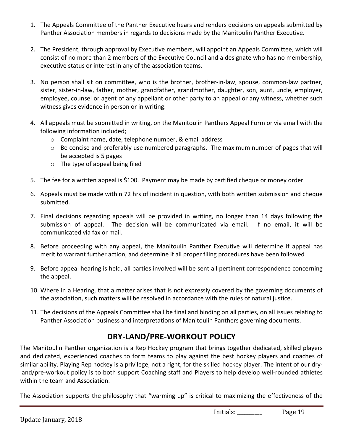- 1. The Appeals Committee of the Panther Executive hears and renders decisions on appeals submitted by Panther Association members in regards to decisions made by the Manitoulin Panther Executive.
- 2. The President, through approval by Executive members, will appoint an Appeals Committee, which will consist of no more than 2 members of the Executive Council and a designate who has no membership, executive status or interest in any of the association teams.
- 3. No person shall sit on committee, who is the brother, brother-in-law, spouse, common-law partner, sister, sister-in-law, father, mother, grandfather, grandmother, daughter, son, aunt, uncle, employer, employee, counsel or agent of any appellant or other party to an appeal or any witness, whether such witness gives evidence in person or in writing.
- 4. All appeals must be submitted in writing, on the Manitoulin Panthers Appeal Form or via email with the following information included;
	- o Complaint name, date, telephone number, & email address
	- $\circ$  Be concise and preferably use numbered paragraphs. The maximum number of pages that will be accepted is 5 pages
	- $\circ$  The type of appeal being filed
- 5. The fee for a written appeal is \$100. Payment may be made by certified cheque or money order.
- 6. Appeals must be made within 72 hrs of incident in question, with both written submission and cheque submitted.
- 7. Final decisions regarding appeals will be provided in writing, no longer than 14 days following the submission of appeal. The decision will be communicated via email. If no email, it will be communicated via fax or mail.
- 8. Before proceeding with any appeal, the Manitoulin Panther Executive will determine if appeal has merit to warrant further action, and determine if all proper filing procedures have been followed
- 9. Before appeal hearing is held, all parties involved will be sent all pertinent correspondence concerning the appeal.
- 10. Where in a Hearing, that a matter arises that is not expressly covered by the governing documents of the association, such matters will be resolved in accordance with the rules of natural justice.
- 11. The decisions of the Appeals Committee shall be final and binding on all parties, on all issues relating to Panther Association business and interpretations of Manitoulin Panthers governing documents.

# **DRY-LAND/PRE-WORKOUT POLICY**

The Manitoulin Panther organization is a Rep Hockey program that brings together dedicated, skilled players and dedicated, experienced coaches to form teams to play against the best hockey players and coaches of similar ability. Playing Rep hockey is a privilege, not a right, for the skilled hockey player. The intent of our dryland/pre-workout policy is to both support Coaching staff and Players to help develop well-rounded athletes within the team and Association.

The Association supports the philosophy that "warming up" is critical to maximizing the effectiveness of the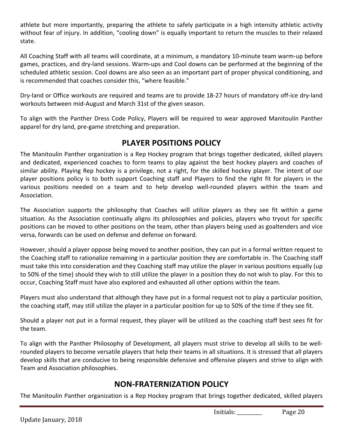athlete but more importantly, preparing the athlete to safely participate in a high intensity athletic activity without fear of injury. In addition, "cooling down" is equally important to return the muscles to their relaxed state.

All Coaching Staff with all teams will coordinate, at a minimum, a mandatory 10-minute team warm-up before games, practices, and dry-land sessions. Warm-ups and Cool downs can be performed at the beginning of the scheduled athletic session. Cool downs are also seen as an important part of proper physical conditioning, and is recommended that coaches consider this, "where feasible."

Dry-land or Office workouts are required and teams are to provide 18-27 hours of mandatory off-ice dry-land workouts between mid-August and March 31st of the given season.

To align with the Panther Dress Code Policy, Players will be required to wear approved Manitoulin Panther apparel for dry land, pre-game stretching and preparation.

# **PLAYER POSITIONS POLICY**

The Manitoulin Panther organization is a Rep Hockey program that brings together dedicated, skilled players and dedicated, experienced coaches to form teams to play against the best hockey players and coaches of similar ability. Playing Rep hockey is a privilege, not a right, for the skilled hockey player. The intent of our player positions policy is to both support Coaching staff and Players to find the right fit for players in the various positions needed on a team and to help develop well-rounded players within the team and Association.

The Association supports the philosophy that Coaches will utilize players as they see fit within a game situation. As the Association continually aligns its philosophies and policies, players who tryout for specific positions can be moved to other positions on the team, other than players being used as goaltenders and vice versa, forwards can be used on defense and defense on forward.

However, should a player oppose being moved to another position, they can put in a formal written request to the Coaching staff to rationalize remaining in a particular position they are comfortable in. The Coaching staff must take this into consideration and they Coaching staff may utilize the player in various positions equally (up to 50% of the time) should they wish to still utilize the player in a position they do not wish to play. For this to occur, Coaching Staff must have also explored and exhausted all other options within the team.

Players must also understand that although they have put in a formal request not to play a particular position, the coaching staff, may still utilize the player in a particular position for up to 50% of the time if they see fit.

Should a player not put in a formal request, they player will be utilized as the coaching staff best sees fit for the team.

To align with the Panther Philosophy of Development, all players must strive to develop all skills to be wellrounded players to become versatile players that help their teams in all situations. It is stressed that all players develop skills that are conducive to being responsible defensive and offensive players and strive to align with Team and Association philosophies.

# **NON-FRATERNIZATION POLICY**

The Manitoulin Panther organization is a Rep Hockey program that brings together dedicated, skilled players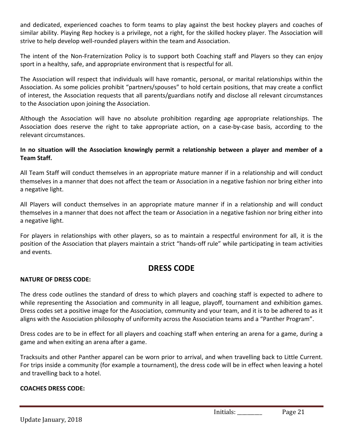and dedicated, experienced coaches to form teams to play against the best hockey players and coaches of similar ability. Playing Rep hockey is a privilege, not a right, for the skilled hockey player. The Association will strive to help develop well-rounded players within the team and Association.

The intent of the Non-Fraternization Policy is to support both Coaching staff and Players so they can enjoy sport in a healthy, safe, and appropriate environment that is respectful for all.

The Association will respect that individuals will have romantic, personal, or marital relationships within the Association. As some policies prohibit "partners/spouses" to hold certain positions, that may create a conflict of interest, the Association requests that all parents/guardians notify and disclose all relevant circumstances to the Association upon joining the Association.

Although the Association will have no absolute prohibition regarding age appropriate relationships. The Association does reserve the right to take appropriate action, on a case-by-case basis, according to the relevant circumstances.

#### In no situation will the Association knowingly permit a relationship between a player and member of a **Team Staff.**

All Team Staff will conduct themselves in an appropriate mature manner if in a relationship and will conduct themselves in a manner that does not affect the team or Association in a negative fashion nor bring either into a negative light.

All Players will conduct themselves in an appropriate mature manner if in a relationship and will conduct themselves in a manner that does not affect the team or Association in a negative fashion nor bring either into a negative light.

For players in relationships with other players, so as to maintain a respectful environment for all, it is the position of the Association that players maintain a strict "hands-off rule" while participating in team activities and events.

# **DRESS CODE**

#### **NATURE OF DRESS CODE:**

The dress code outlines the standard of dress to which players and coaching staff is expected to adhere to while representing the Association and community in all league, playoff, tournament and exhibition games. Dress codes set a positive image for the Association, community and your team, and it is to be adhered to as it aligns with the Association philosophy of uniformity across the Association teams and a "Panther Program".

Dress codes are to be in effect for all players and coaching staff when entering an arena for a game, during a game and when exiting an arena after a game.

Tracksuits and other Panther apparel can be worn prior to arrival, and when travelling back to Little Current. For trips inside a community (for example a tournament), the dress code will be in effect when leaving a hotel and travelling back to a hotel.

#### **COACHES DRESS CODE:**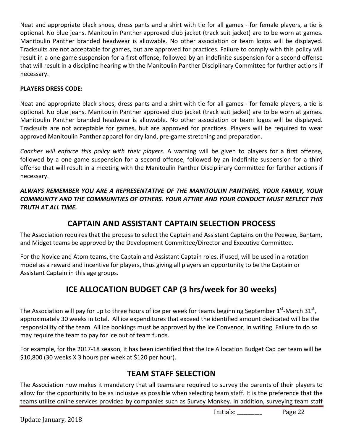Neat and appropriate black shoes, dress pants and a shirt with tie for all games - for female players, a tie is optional. No blue jeans. Manitoulin Panther approved club jacket (track suit jacket) are to be worn at games. Manitoulin Panther branded headwear is allowable. No other association or team logos will be displayed. Tracksuits are not acceptable for games, but are approved for practices. Failure to comply with this policy will result in a one game suspension for a first offense, followed by an indefinite suspension for a second offense that will result in a discipline hearing with the Manitoulin Panther Disciplinary Committee for further actions if necessary.

#### **PLAYERS DRESS CODE:**

Neat and appropriate black shoes, dress pants and a shirt with tie for all games - for female players, a tie is optional. No blue jeans. Manitoulin Panther approved club jacket (track suit jacket) are to be worn at games. Manitoulin Panther branded headwear is allowable. No other association or team logos will be displayed. Tracksuits are not acceptable for games, but are approved for practices. Players will be required to wear approved Manitoulin Panther apparel for dry land, pre-game stretching and preparation.

*Coaches* will enforce this policy with their players. A warning will be given to players for a first offense, followed by a one game suspension for a second offense, followed by an indefinite suspension for a third offense that will result in a meeting with the Manitoulin Panther Disciplinary Committee for further actions if necessary.

ALWAYS REMEMBER YOU ARE A REPRESENTATIVE OF THE MANITOULIN PANTHERS, YOUR FAMILY, YOUR *COMMUNITY AND THE COMMUNITIES OF OTHERS. YOUR ATTIRE AND YOUR CONDUCT MUST REFLECT THIS TRUTH AT ALL TIME.*

# **CAPTAIN AND ASSISTANT CAPTAIN SELECTION PROCESS**

The Association requires that the process to select the Captain and Assistant Captains on the Peewee, Bantam, and Midget teams be approved by the Development Committee/Director and Executive Committee.

For the Novice and Atom teams, the Captain and Assistant Captain roles, if used, will be used in a rotation model as a reward and incentive for players, thus giving all players an opportunity to be the Captain or Assistant Captain in this age groups.

# **ICE ALLOCATION BUDGET CAP (3 hrs/week for 30 weeks)**

The Association will pay for up to three hours of ice per week for teams beginning September  $1^{st}$ -March 31st, approximately 30 weeks in total. All ice expenditures that exceed the identified amount dedicated will be the responsibility of the team. All ice bookings must be approved by the Ice Convenor, in writing. Failure to do so may require the team to pay for ice out of team funds.

For example, for the 2017-18 season, it has been identified that the Ice Allocation Budget Cap per team will be  $$10,800$  (30 weeks X 3 hours per week at  $$120$  per hour).

# **TEAM STAFF SELECTION**

The Association now makes it mandatory that all teams are required to survey the parents of their players to allow for the opportunity to be as inclusive as possible when selecting team staff. It is the preference that the teams utilize online services provided by companies such as Survey Monkey. In addition, surveying team staff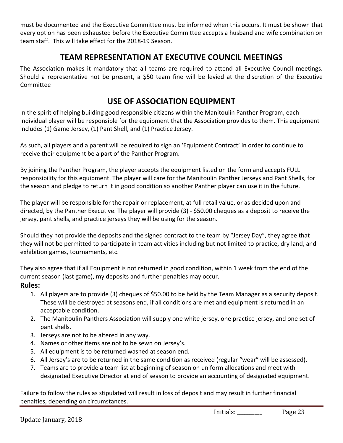must be documented and the Executive Committee must be informed when this occurs. It must be shown that every option has been exhausted before the Executive Committee accepts a husband and wife combination on team staff. This will take effect for the 2018-19 Season.

# **TEAM REPRESENTATION AT EXECUTIVE COUNCIL MEETINGS**

The Association makes it mandatory that all teams are required to attend all Executive Council meetings. Should a representative not be present, a \$50 team fine will be levied at the discretion of the Executive **Committee** 

# **USE OF ASSOCIATION EQUIPMENT**

In the spirit of helping building good responsible citizens within the Manitoulin Panther Program, each individual player will be responsible for the equipment that the Association provides to them. This equipment includes (1) Game Jersey, (1) Pant Shell, and (1) Practice Jersey.

As such, all players and a parent will be required to sign an 'Equipment Contract' in order to continue to receive their equipment be a part of the Panther Program.

By joining the Panther Program, the player accepts the equipment listed on the form and accepts FULL responsibility for this equipment. The player will care for the Manitoulin Panther Jerseys and Pant Shells, for the season and pledge to return it in good condition so another Panther player can use it in the future.

The player will be responsible for the repair or replacement, at full retail value, or as decided upon and directed, by the Panther Executive. The player will provide (3) - \$50.00 cheques as a deposit to receive the jersey, pant shells, and practice jerseys they will be using for the season.

Should they not provide the deposits and the signed contract to the team by "Jersey Day", they agree that they will not be permitted to participate in team activities including but not limited to practice, dry land, and exhibition games, tournaments, etc.

They also agree that if all Equipment is not returned in good condition, within 1 week from the end of the current season (last game), my deposits and further penalties may occur.

#### **Rules:**

- 1. All players are to provide (3) cheques of \$50.00 to be held by the Team Manager as a security deposit. These will be destroyed at seasons end, if all conditions are met and equipment is returned in an acceptable condition.
- 2. The Manitoulin Panthers Association will supply one white jersey, one practice jersey, and one set of pant shells.
- 3. Jerseys are not to be altered in any way.
- 4. Names or other items are not to be sewn on Jersey's.
- 5. All equipment is to be returned washed at season end.
- 6. All Jersey's are to be returned in the same condition as received (regular "wear" will be assessed).
- 7. Teams are to provide a team list at beginning of season on uniform allocations and meet with designated Executive Director at end of season to provide an accounting of designated equipment.

Failure to follow the rules as stipulated will result in loss of deposit and may result in further financial penalties, depending on circumstances.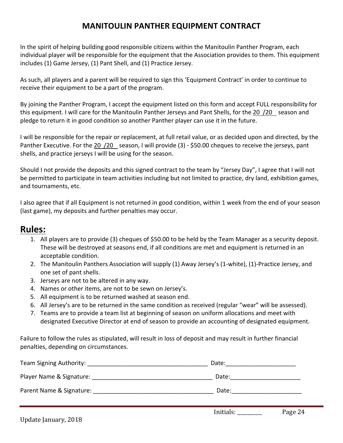# **MANITOULIN PANTHER EQUIPMENT CONTRACT**

In the spirit of helping building good responsible citizens within the Manitoulin Panther Program, each individual player will be responsible for the equipment that the Association provides to them. This equipment includes  $(1)$  Game Jersey,  $(1)$  Pant Shell, and  $(1)$  Practice Jersey.

As such, all players and a parent will be required to sign this 'Equipment Contract' in order to continue to receive their equipment to be a part of the program.

By joining the Panther Program, I accept the equipment listed on this form and accept FULL responsibility for this equipment. I will care for the Manitoulin Panther Jerseys and Pant Shells, for the 20 /20 season and pledge to return it in good condition so another Panther player can use it in the future.

I will be responsible for the repair or replacement, at full retail value, or as decided upon and directed, by the Panther Executive. For the 20 /20 season, I will provide (3) - \$50.00 cheques to receive the jerseys, pant shells, and practice jerseys I will be using for the season.

Should I not provide the deposits and this signed contract to the team by "Jersey Day", I agree that I will not be permitted to participate in team activities including but not limited to practice, dry land, exhibition games, and tournaments, etc.

I also agree that if all Equipment is not returned in good condition, within 1 week from the end of your season (last game), my deposits and further penalties may occur.

# **Rules:**

- 1. All players are to provide (3) cheques of \$50.00 to be held by the Team Manager as a security deposit. These will be destroyed at seasons end, if all conditions are met and equipment is returned in an acceptable condition.
- 2. The Manitoulin Panthers Association will supply (1) Away Jersey's (1-white), (1)-Practice Jersey, and one set of pant shells.
- 3. Jerseys are not to be altered in any way.
- 4. Names or other items, are not to be sewn on Jersey's.
- 5. All equipment is to be returned washed at season end.
- 6. All Jersey's are to be returned in the same condition as received (regular "wear" will be assessed).
- 7. Teams are to provide a team list at beginning of season on uniform allocations and meet with designated Executive Director at end of season to provide an accounting of designated equipment.

Failure to follow the rules as stipulated, will result in loss of deposit and may result in further financial penalties, depending on circumstances.

| Team Signing Authority: __________________ | Date: |
|--------------------------------------------|-------|
| Player Name & Signature:                   | Date: |
| Parent Name & Signature:                   | Date: |
|                                            |       |